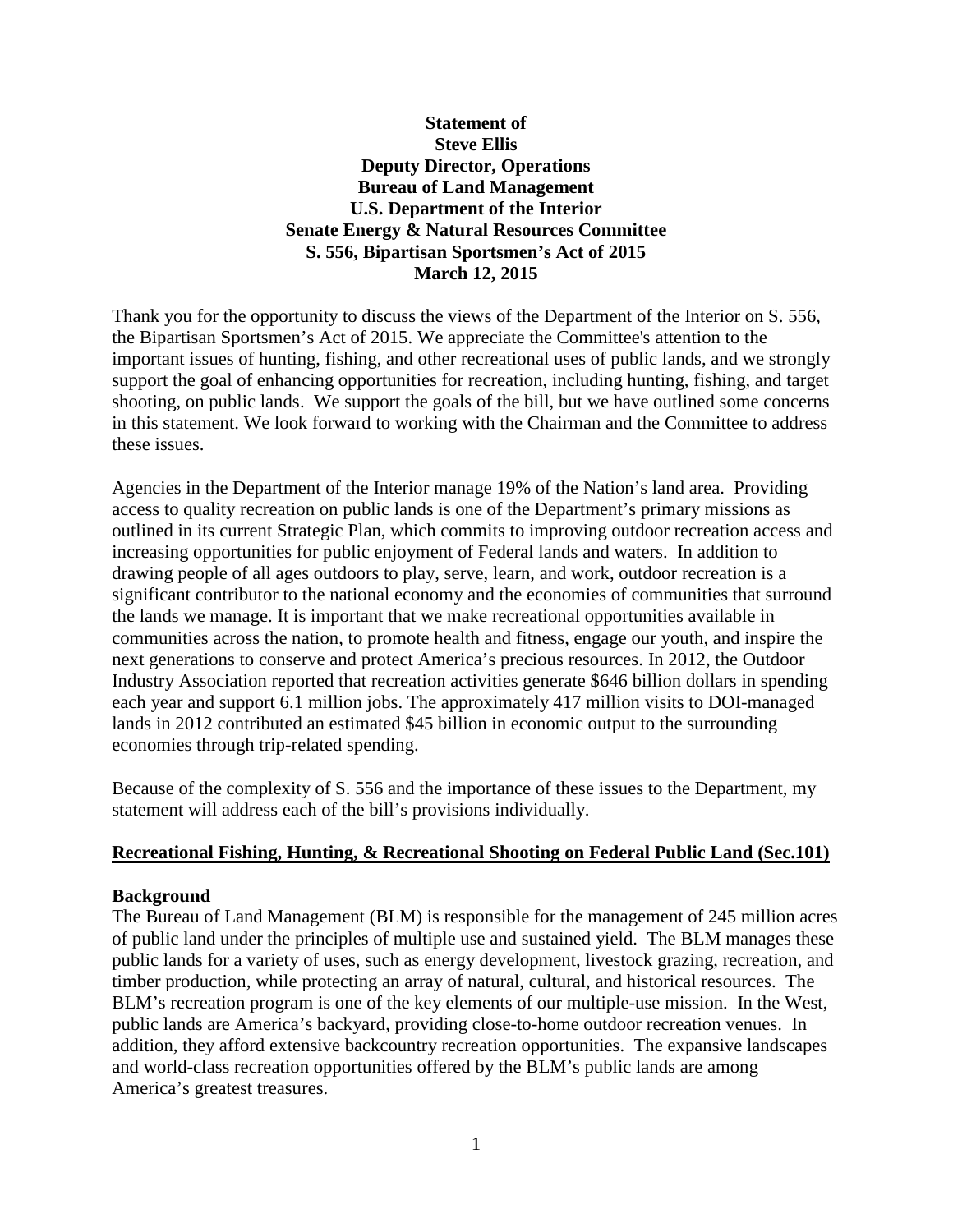# **Statement of Steve Ellis Deputy Director, Operations Bureau of Land Management U.S. Department of the Interior Senate Energy & Natural Resources Committee S. 556, Bipartisan Sportsmen's Act of 2015 March 12, 2015**

Thank you for the opportunity to discuss the views of the Department of the Interior on S. 556, the Bipartisan Sportsmen's Act of 2015. We appreciate the Committee's attention to the important issues of hunting, fishing, and other recreational uses of public lands, and we strongly support the goal of enhancing opportunities for recreation, including hunting, fishing, and target shooting, on public lands. We support the goals of the bill, but we have outlined some concerns in this statement. We look forward to working with the Chairman and the Committee to address these issues.

Agencies in the Department of the Interior manage 19% of the Nation's land area. Providing access to quality recreation on public lands is one of the Department's primary missions as outlined in its current Strategic Plan, which commits to improving outdoor recreation access and increasing opportunities for public enjoyment of Federal lands and waters. In addition to drawing people of all ages outdoors to play, serve, learn, and work, outdoor recreation is a significant contributor to the national economy and the economies of communities that surround the lands we manage. It is important that we make recreational opportunities available in communities across the nation, to promote health and fitness, engage our youth, and inspire the next generations to conserve and protect America's precious resources. In 2012, the Outdoor Industry Association reported that recreation activities generate \$646 billion dollars in spending each year and support 6.1 million jobs. The approximately 417 million visits to DOI-managed lands in 2012 contributed an estimated \$45 billion in economic output to the surrounding economies through trip-related spending.

Because of the complexity of S. 556 and the importance of these issues to the Department, my statement will address each of the bill's provisions individually.

#### **Recreational Fishing, Hunting, & Recreational Shooting on Federal Public Land (Sec.101)**

#### **Background**

The Bureau of Land Management (BLM) is responsible for the management of 245 million acres of public land under the principles of multiple use and sustained yield. The BLM manages these public lands for a variety of uses, such as energy development, livestock grazing, recreation, and timber production, while protecting an array of natural, cultural, and historical resources. The BLM's recreation program is one of the key elements of our multiple-use mission. In the West, public lands are America's backyard, providing close-to-home outdoor recreation venues. In addition, they afford extensive backcountry recreation opportunities. The expansive landscapes and world-class recreation opportunities offered by the BLM's public lands are among America's greatest treasures.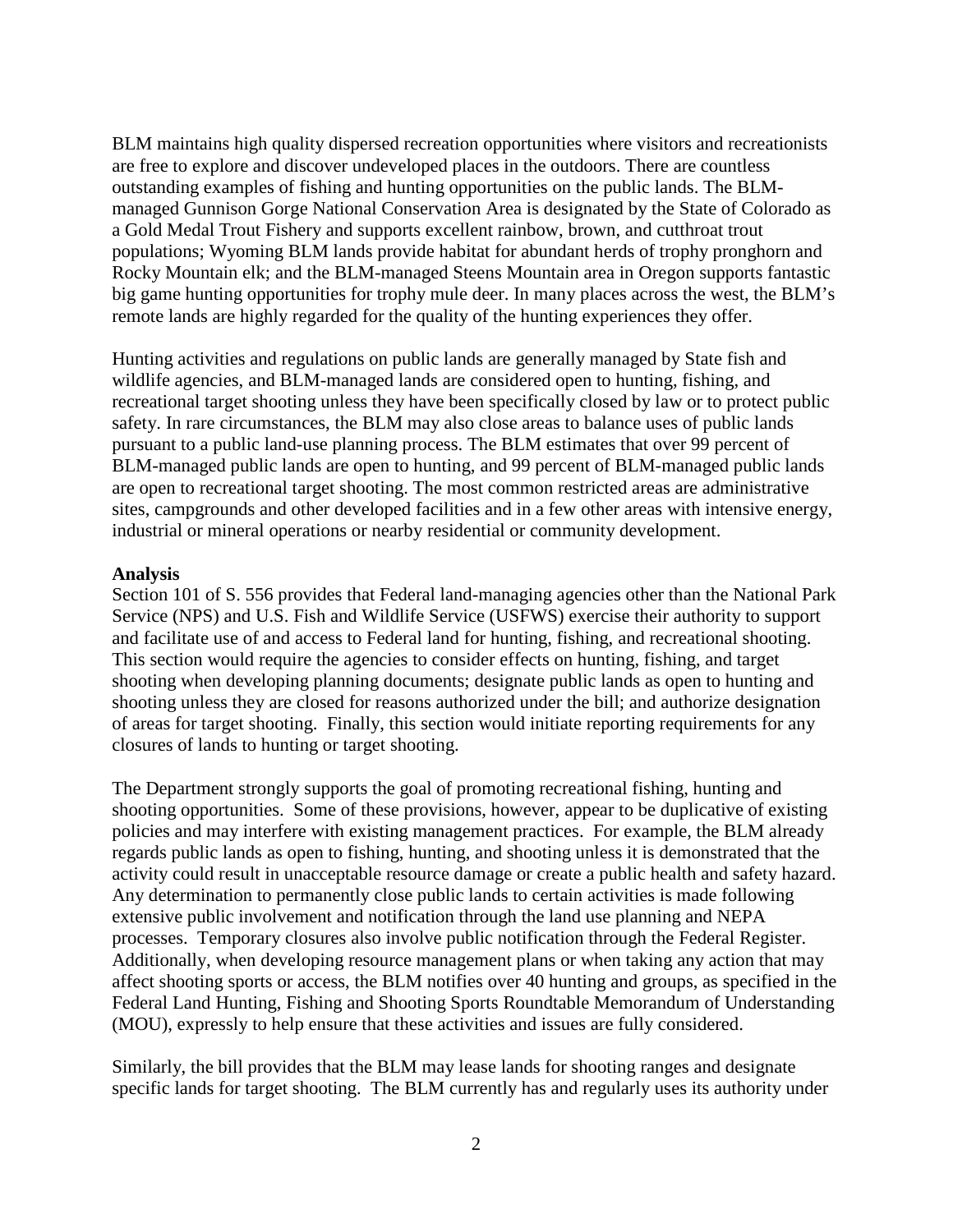BLM maintains high quality dispersed recreation opportunities where visitors and recreationists are free to explore and discover undeveloped places in the outdoors. There are countless outstanding examples of fishing and hunting opportunities on the public lands. The BLMmanaged Gunnison Gorge National Conservation Area is designated by the State of Colorado as a Gold Medal Trout Fishery and supports excellent rainbow, brown, and cutthroat trout populations; Wyoming BLM lands provide habitat for abundant herds of trophy pronghorn and Rocky Mountain elk; and the BLM-managed Steens Mountain area in Oregon supports fantastic big game hunting opportunities for trophy mule deer. In many places across the west, the BLM's remote lands are highly regarded for the quality of the hunting experiences they offer.

Hunting activities and regulations on public lands are generally managed by State fish and wildlife agencies, and BLM-managed lands are considered open to hunting, fishing, and recreational target shooting unless they have been specifically closed by law or to protect public safety. In rare circumstances, the BLM may also close areas to balance uses of public lands pursuant to a public land-use planning process. The BLM estimates that over 99 percent of BLM-managed public lands are open to hunting, and 99 percent of BLM-managed public lands are open to recreational target shooting. The most common restricted areas are administrative sites, campgrounds and other developed facilities and in a few other areas with intensive energy, industrial or mineral operations or nearby residential or community development.

#### **Analysis**

Section 101 of S. 556 provides that Federal land-managing agencies other than the National Park Service (NPS) and U.S. Fish and Wildlife Service (USFWS) exercise their authority to support and facilitate use of and access to Federal land for hunting, fishing, and recreational shooting. This section would require the agencies to consider effects on hunting, fishing, and target shooting when developing planning documents; designate public lands as open to hunting and shooting unless they are closed for reasons authorized under the bill; and authorize designation of areas for target shooting. Finally, this section would initiate reporting requirements for any closures of lands to hunting or target shooting.

The Department strongly supports the goal of promoting recreational fishing, hunting and shooting opportunities. Some of these provisions, however, appear to be duplicative of existing policies and may interfere with existing management practices. For example, the BLM already regards public lands as open to fishing, hunting, and shooting unless it is demonstrated that the activity could result in unacceptable resource damage or create a public health and safety hazard. Any determination to permanently close public lands to certain activities is made following extensive public involvement and notification through the land use planning and NEPA processes. Temporary closures also involve public notification through the Federal Register. Additionally, when developing resource management plans or when taking any action that may affect shooting sports or access, the BLM notifies over 40 hunting and groups, as specified in the Federal Land Hunting, Fishing and Shooting Sports Roundtable Memorandum of Understanding (MOU), expressly to help ensure that these activities and issues are fully considered.

Similarly, the bill provides that the BLM may lease lands for shooting ranges and designate specific lands for target shooting. The BLM currently has and regularly uses its authority under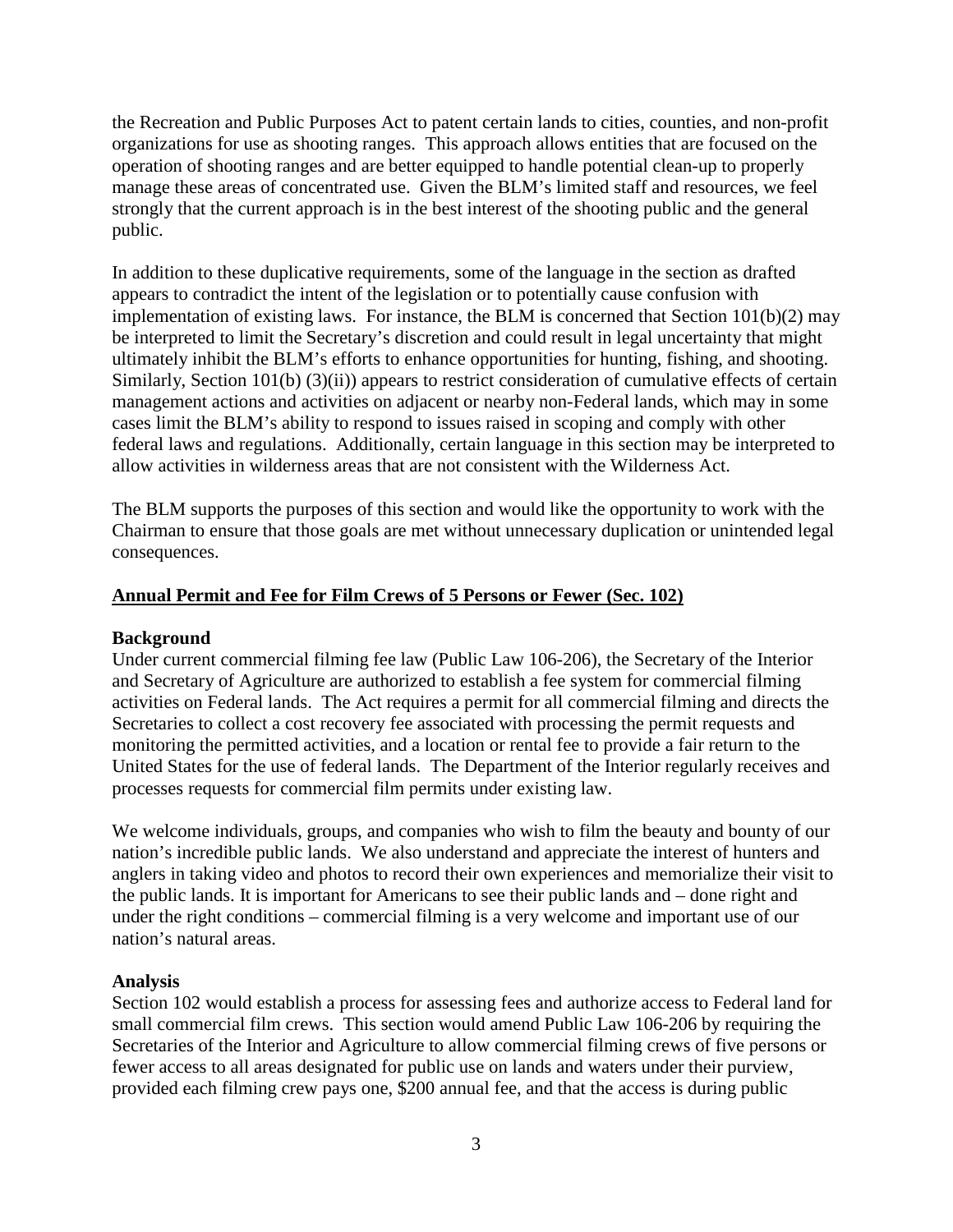the Recreation and Public Purposes Act to patent certain lands to cities, counties, and non-profit organizations for use as shooting ranges. This approach allows entities that are focused on the operation of shooting ranges and are better equipped to handle potential clean-up to properly manage these areas of concentrated use. Given the BLM's limited staff and resources, we feel strongly that the current approach is in the best interest of the shooting public and the general public.

In addition to these duplicative requirements, some of the language in the section as drafted appears to contradict the intent of the legislation or to potentially cause confusion with implementation of existing laws. For instance, the BLM is concerned that Section 101(b)(2) may be interpreted to limit the Secretary's discretion and could result in legal uncertainty that might ultimately inhibit the BLM's efforts to enhance opportunities for hunting, fishing, and shooting. Similarly, Section 101(b) (3)(ii)) appears to restrict consideration of cumulative effects of certain management actions and activities on adjacent or nearby non-Federal lands, which may in some cases limit the BLM's ability to respond to issues raised in scoping and comply with other federal laws and regulations. Additionally, certain language in this section may be interpreted to allow activities in wilderness areas that are not consistent with the Wilderness Act.

The BLM supports the purposes of this section and would like the opportunity to work with the Chairman to ensure that those goals are met without unnecessary duplication or unintended legal consequences.

## **Annual Permit and Fee for Film Crews of 5 Persons or Fewer (Sec. 102)**

#### **Background**

Under current commercial filming fee law (Public Law 106-206), the Secretary of the Interior and Secretary of Agriculture are authorized to establish a fee system for commercial filming activities on Federal lands. The Act requires a permit for all commercial filming and directs the Secretaries to collect a cost recovery fee associated with processing the permit requests and monitoring the permitted activities, and a location or rental fee to provide a fair return to the United States for the use of federal lands. The Department of the Interior regularly receives and processes requests for commercial film permits under existing law.

We welcome individuals, groups, and companies who wish to film the beauty and bounty of our nation's incredible public lands. We also understand and appreciate the interest of hunters and anglers in taking video and photos to record their own experiences and memorialize their visit to the public lands. It is important for Americans to see their public lands and – done right and under the right conditions – commercial filming is a very welcome and important use of our nation's natural areas.

#### **Analysis**

Section 102 would establish a process for assessing fees and authorize access to Federal land for small commercial film crews. This section would amend Public Law 106-206 by requiring the Secretaries of the Interior and Agriculture to allow commercial filming crews of five persons or fewer access to all areas designated for public use on lands and waters under their purview, provided each filming crew pays one, \$200 annual fee, and that the access is during public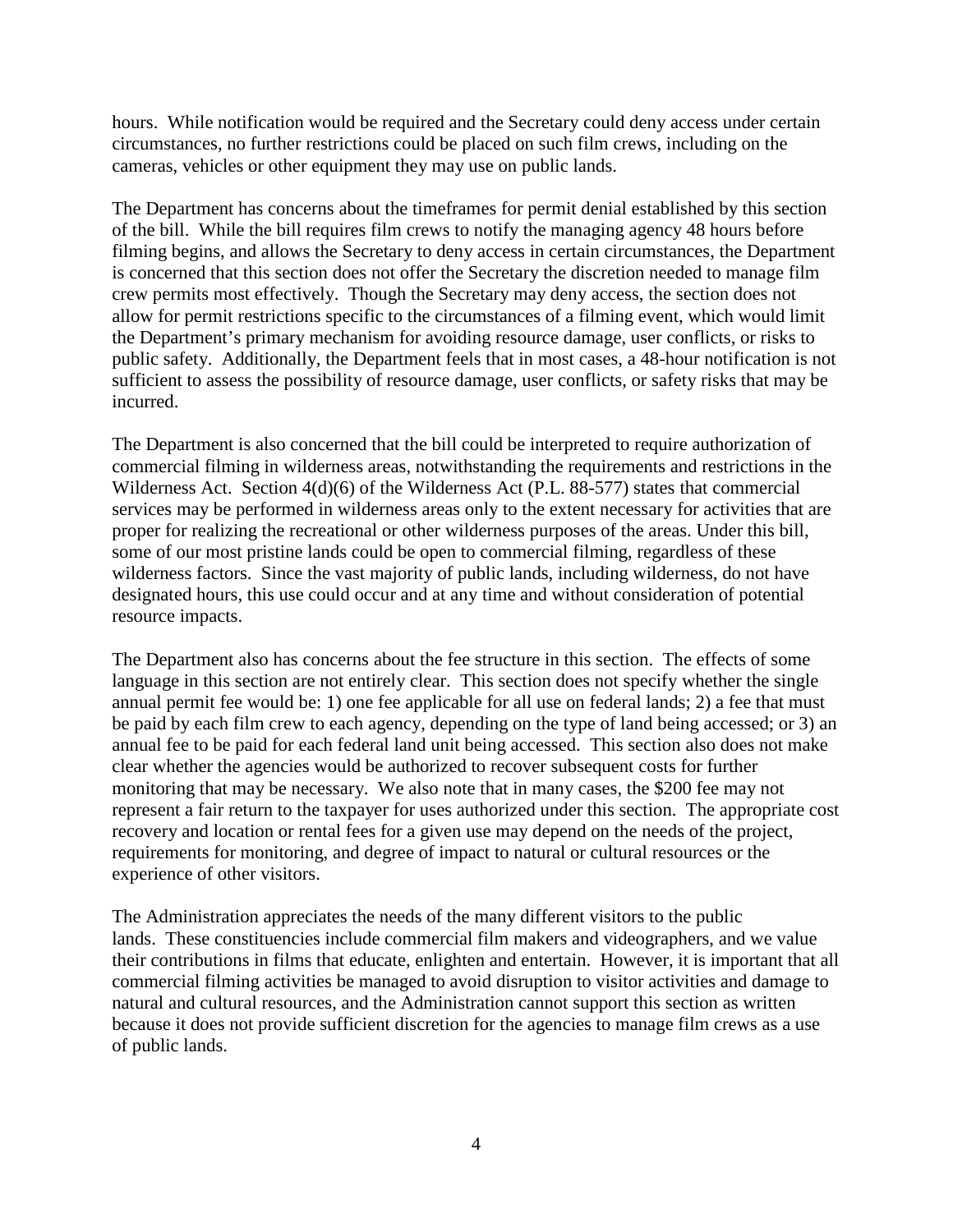hours. While notification would be required and the Secretary could deny access under certain circumstances, no further restrictions could be placed on such film crews, including on the cameras, vehicles or other equipment they may use on public lands.

The Department has concerns about the timeframes for permit denial established by this section of the bill. While the bill requires film crews to notify the managing agency 48 hours before filming begins, and allows the Secretary to deny access in certain circumstances, the Department is concerned that this section does not offer the Secretary the discretion needed to manage film crew permits most effectively. Though the Secretary may deny access, the section does not allow for permit restrictions specific to the circumstances of a filming event, which would limit the Department's primary mechanism for avoiding resource damage, user conflicts, or risks to public safety. Additionally, the Department feels that in most cases, a 48-hour notification is not sufficient to assess the possibility of resource damage, user conflicts, or safety risks that may be incurred.

The Department is also concerned that the bill could be interpreted to require authorization of commercial filming in wilderness areas, notwithstanding the requirements and restrictions in the Wilderness Act. Section 4(d)(6) of the Wilderness Act (P.L. 88-577) states that commercial services may be performed in wilderness areas only to the extent necessary for activities that are proper for realizing the recreational or other wilderness purposes of the areas. Under this bill, some of our most pristine lands could be open to commercial filming, regardless of these wilderness factors. Since the vast majority of public lands, including wilderness, do not have designated hours, this use could occur and at any time and without consideration of potential resource impacts.

The Department also has concerns about the fee structure in this section. The effects of some language in this section are not entirely clear. This section does not specify whether the single annual permit fee would be: 1) one fee applicable for all use on federal lands; 2) a fee that must be paid by each film crew to each agency, depending on the type of land being accessed; or 3) an annual fee to be paid for each federal land unit being accessed. This section also does not make clear whether the agencies would be authorized to recover subsequent costs for further monitoring that may be necessary. We also note that in many cases, the \$200 fee may not represent a fair return to the taxpayer for uses authorized under this section. The appropriate cost recovery and location or rental fees for a given use may depend on the needs of the project, requirements for monitoring, and degree of impact to natural or cultural resources or the experience of other visitors.

The Administration appreciates the needs of the many different visitors to the public lands. These constituencies include commercial film makers and videographers, and we value their contributions in films that educate, enlighten and entertain. However, it is important that all commercial filming activities be managed to avoid disruption to visitor activities and damage to natural and cultural resources, and the Administration cannot support this section as written because it does not provide sufficient discretion for the agencies to manage film crews as a use of public lands.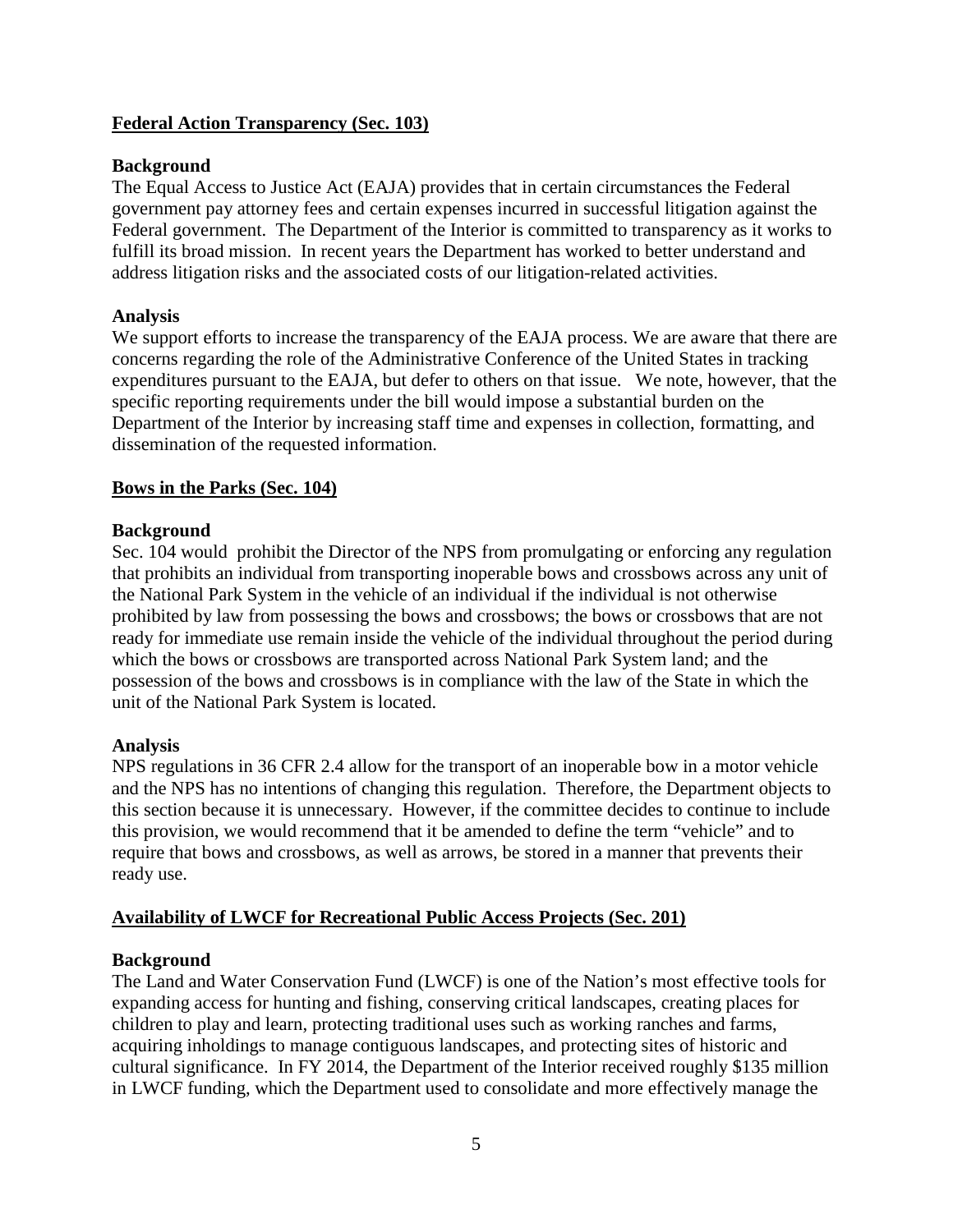# **Federal Action Transparency (Sec. 103)**

### **Background**

The Equal Access to Justice Act (EAJA) provides that in certain circumstances the Federal government pay attorney fees and certain expenses incurred in successful litigation against the Federal government. The Department of the Interior is committed to transparency as it works to fulfill its broad mission. In recent years the Department has worked to better understand and address litigation risks and the associated costs of our litigation-related activities.

### **Analysis**

We support efforts to increase the transparency of the EAJA process. We are aware that there are concerns regarding the role of the Administrative Conference of the United States in tracking expenditures pursuant to the EAJA, but defer to others on that issue. We note, however, that the specific reporting requirements under the bill would impose a substantial burden on the Department of the Interior by increasing staff time and expenses in collection, formatting, and dissemination of the requested information.

## **Bows in the Parks (Sec. 104)**

#### **Background**

Sec. 104 would prohibit the Director of the NPS from promulgating or enforcing any regulation that prohibits an individual from transporting inoperable bows and crossbows across any unit of the National Park System in the vehicle of an individual if the individual is not otherwise prohibited by law from possessing the bows and crossbows; the bows or crossbows that are not ready for immediate use remain inside the vehicle of the individual throughout the period during which the bows or crossbows are transported across National Park System land; and the possession of the bows and crossbows is in compliance with the law of the State in which the unit of the National Park System is located.

#### **Analysis**

NPS regulations in 36 CFR 2.4 allow for the transport of an inoperable bow in a motor vehicle and the NPS has no intentions of changing this regulation. Therefore, the Department objects to this section because it is unnecessary. However, if the committee decides to continue to include this provision, we would recommend that it be amended to define the term "vehicle" and to require that bows and crossbows, as well as arrows, be stored in a manner that prevents their ready use.

# **Availability of LWCF for Recreational Public Access Projects (Sec. 201)**

#### **Background**

The Land and Water Conservation Fund (LWCF) is one of the Nation's most effective tools for expanding access for hunting and fishing, conserving critical landscapes, creating places for children to play and learn, protecting traditional uses such as working ranches and farms, acquiring inholdings to manage contiguous landscapes, and protecting sites of historic and cultural significance. In FY 2014, the Department of the Interior received roughly \$135 million in LWCF funding, which the Department used to consolidate and more effectively manage the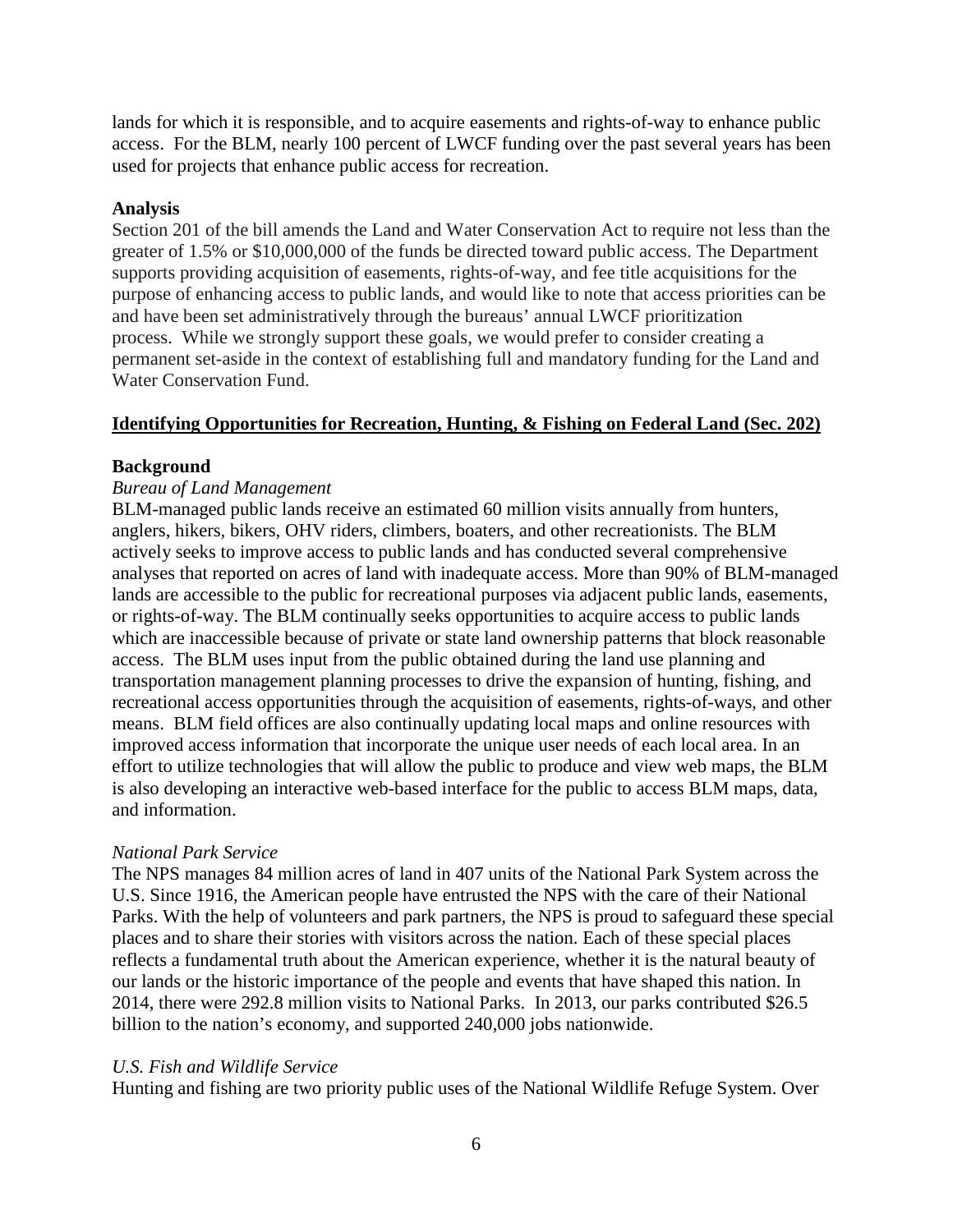lands for which it is responsible, and to acquire easements and rights-of-way to enhance public access. For the BLM, nearly 100 percent of LWCF funding over the past several years has been used for projects that enhance public access for recreation.

### **Analysis**

Section 201 of the bill amends the Land and Water Conservation Act to require not less than the greater of 1.5% or \$10,000,000 of the funds be directed toward public access. The Department supports providing acquisition of easements, rights-of-way, and fee title acquisitions for the purpose of enhancing access to public lands, and would like to note that access priorities can be and have been set administratively through the bureaus' annual LWCF prioritization process. While we strongly support these goals, we would prefer to consider creating a permanent set-aside in the context of establishing full and mandatory funding for the Land and Water Conservation Fund.

## **Identifying Opportunities for Recreation, Hunting, & Fishing on Federal Land (Sec. 202)**

## **Background**

## *Bureau of Land Management*

BLM-managed public lands receive an estimated 60 million visits annually from hunters, anglers, hikers, bikers, OHV riders, climbers, boaters, and other recreationists. The BLM actively seeks to improve access to public lands and has conducted several comprehensive analyses that reported on acres of land with inadequate access. More than 90% of BLM-managed lands are accessible to the public for recreational purposes via adjacent public lands, easements, or rights-of-way. The BLM continually seeks opportunities to acquire access to public lands which are inaccessible because of private or state land ownership patterns that block reasonable access. The BLM uses input from the public obtained during the land use planning and transportation management planning processes to drive the expansion of hunting, fishing, and recreational access opportunities through the acquisition of easements, rights-of-ways, and other means. BLM field offices are also continually updating local maps and online resources with improved access information that incorporate the unique user needs of each local area. In an effort to utilize technologies that will allow the public to produce and view web maps, the BLM is also developing an interactive web-based interface for the public to access BLM maps, data, and information.

#### *National Park Service*

The NPS manages 84 million acres of land in 407 units of the National Park System across the U.S. Since 1916, the American people have entrusted the NPS with the care of their National Parks. With the help of volunteers and park partners, the NPS is proud to safeguard these special places and to share their stories with visitors across the nation. Each of these special places reflects a fundamental truth about the American experience, whether it is the natural beauty of our lands or the historic importance of the people and events that have shaped this nation. In 2014, there were 292.8 million visits to National Parks. In 2013, our parks contributed \$26.5 billion to the nation's economy, and supported 240,000 jobs nationwide.

#### *U.S. Fish and Wildlife Service*

Hunting and fishing are two priority public uses of the National Wildlife Refuge System. Over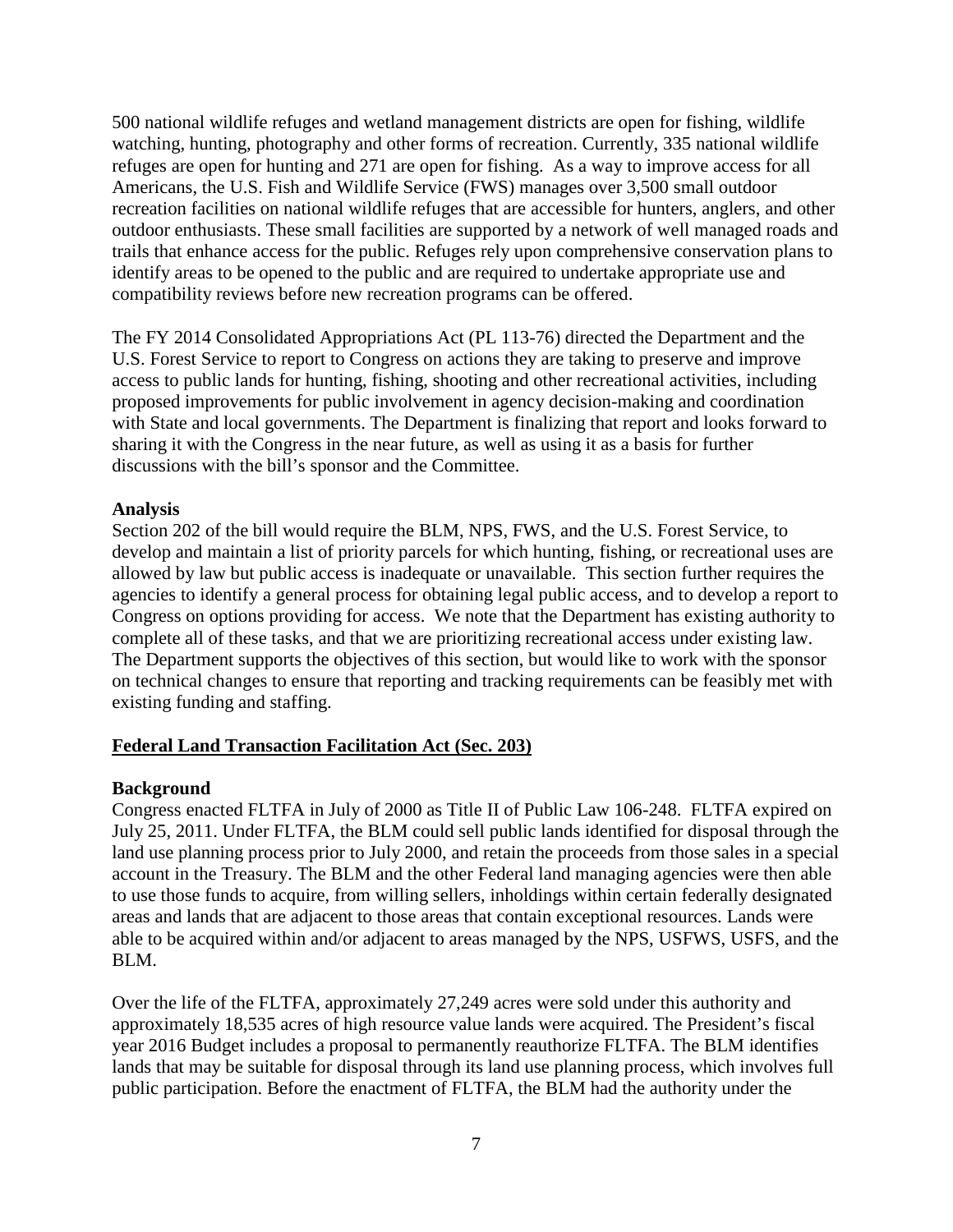500 national wildlife refuges and wetland management districts are open for fishing, wildlife watching, hunting, photography and other forms of recreation. Currently, 335 national wildlife refuges are open for hunting and 271 are open for fishing. As a way to improve access for all Americans, the U.S. Fish and Wildlife Service (FWS) manages over 3,500 small outdoor recreation facilities on national wildlife refuges that are accessible for hunters, anglers, and other outdoor enthusiasts. These small facilities are supported by a network of well managed roads and trails that enhance access for the public. Refuges rely upon comprehensive conservation plans to identify areas to be opened to the public and are required to undertake appropriate use and compatibility reviews before new recreation programs can be offered.

The FY 2014 Consolidated Appropriations Act (PL 113-76) directed the Department and the U.S. Forest Service to report to Congress on actions they are taking to preserve and improve access to public lands for hunting, fishing, shooting and other recreational activities, including proposed improvements for public involvement in agency decision-making and coordination with State and local governments. The Department is finalizing that report and looks forward to sharing it with the Congress in the near future, as well as using it as a basis for further discussions with the bill's sponsor and the Committee.

## **Analysis**

Section 202 of the bill would require the BLM, NPS, FWS, and the U.S. Forest Service, to develop and maintain a list of priority parcels for which hunting, fishing, or recreational uses are allowed by law but public access is inadequate or unavailable. This section further requires the agencies to identify a general process for obtaining legal public access, and to develop a report to Congress on options providing for access. We note that the Department has existing authority to complete all of these tasks, and that we are prioritizing recreational access under existing law. The Department supports the objectives of this section, but would like to work with the sponsor on technical changes to ensure that reporting and tracking requirements can be feasibly met with existing funding and staffing.

# **Federal Land Transaction Facilitation Act (Sec. 203)**

# **Background**

Congress enacted FLTFA in July of 2000 as Title II of Public Law 106-248. FLTFA expired on July 25, 2011. Under FLTFA, the BLM could sell public lands identified for disposal through the land use planning process prior to July 2000, and retain the proceeds from those sales in a special account in the Treasury. The BLM and the other Federal land managing agencies were then able to use those funds to acquire, from willing sellers, inholdings within certain federally designated areas and lands that are adjacent to those areas that contain exceptional resources. Lands were able to be acquired within and/or adjacent to areas managed by the NPS, USFWS, USFS, and the BLM.

Over the life of the FLTFA, approximately 27,249 acres were sold under this authority and approximately 18,535 acres of high resource value lands were acquired. The President's fiscal year 2016 Budget includes a proposal to permanently reauthorize FLTFA. The BLM identifies lands that may be suitable for disposal through its land use planning process, which involves full public participation. Before the enactment of FLTFA, the BLM had the authority under the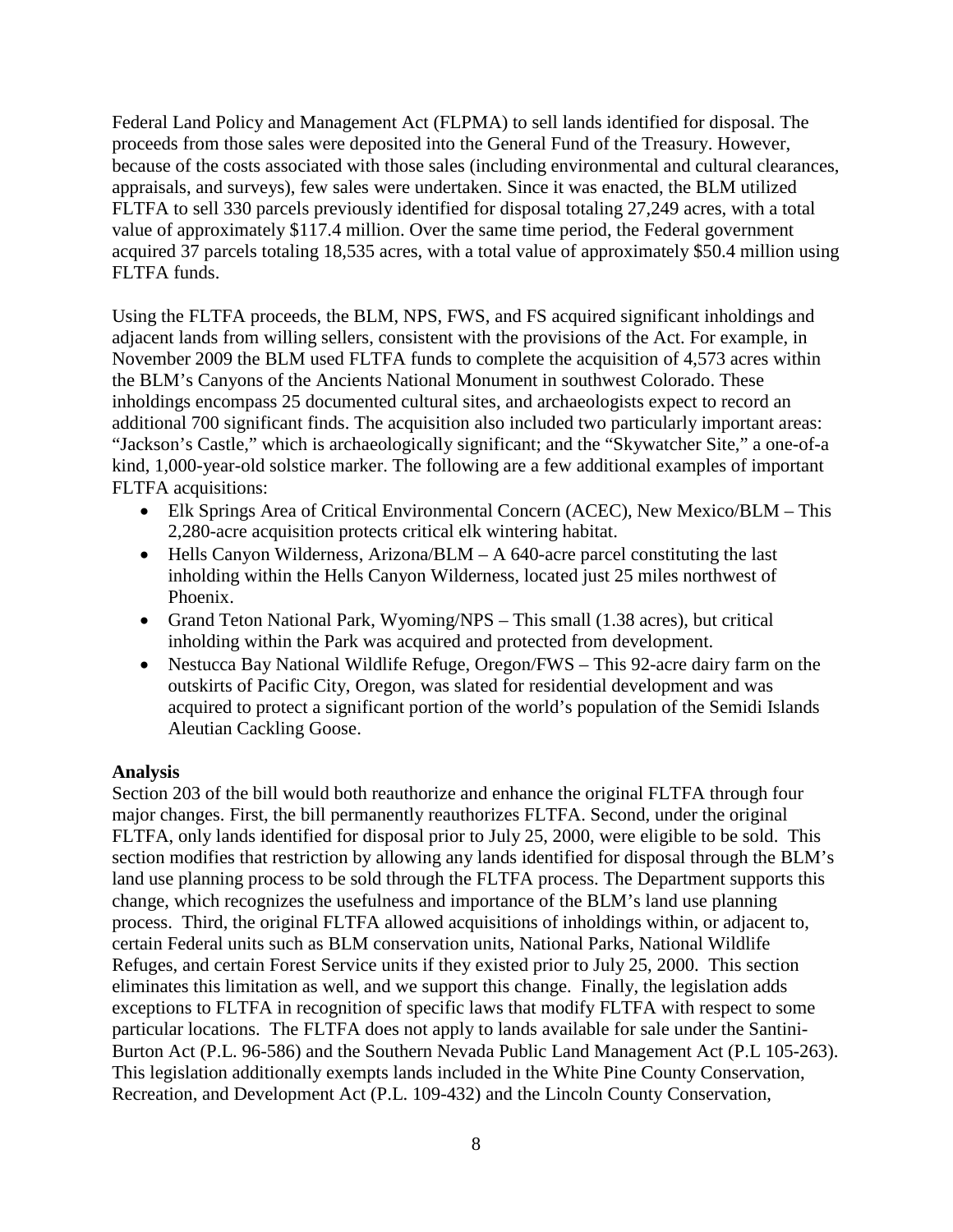Federal Land Policy and Management Act (FLPMA) to sell lands identified for disposal. The proceeds from those sales were deposited into the General Fund of the Treasury. However, because of the costs associated with those sales (including environmental and cultural clearances, appraisals, and surveys), few sales were undertaken. Since it was enacted, the BLM utilized FLTFA to sell 330 parcels previously identified for disposal totaling 27,249 acres, with a total value of approximately \$117.4 million. Over the same time period, the Federal government acquired 37 parcels totaling 18,535 acres, with a total value of approximately \$50.4 million using FLTFA funds.

Using the FLTFA proceeds, the BLM, NPS, FWS, and FS acquired significant inholdings and adjacent lands from willing sellers, consistent with the provisions of the Act. For example, in November 2009 the BLM used FLTFA funds to complete the acquisition of 4,573 acres within the BLM's Canyons of the Ancients National Monument in southwest Colorado. These inholdings encompass 25 documented cultural sites, and archaeologists expect to record an additional 700 significant finds. The acquisition also included two particularly important areas: "Jackson's Castle," which is archaeologically significant; and the "Skywatcher Site," a one-of-a kind, 1,000-year-old solstice marker. The following are a few additional examples of important FLTFA acquisitions:

- Elk Springs Area of Critical Environmental Concern (ACEC), New Mexico/BLM This 2,280-acre acquisition protects critical elk wintering habitat.
- Hells Canyon Wilderness, Arizona/BLM A 640-acre parcel constituting the last inholding within the Hells Canyon Wilderness, located just 25 miles northwest of Phoenix.
- Grand Teton National Park, Wyoming/NPS This small (1.38 acres), but critical inholding within the Park was acquired and protected from development.
- Nestucca Bay National Wildlife Refuge, Oregon/FWS This 92-acre dairy farm on the outskirts of Pacific City, Oregon, was slated for residential development and was acquired to protect a significant portion of the world's population of the Semidi Islands Aleutian Cackling Goose.

#### **Analysis**

Section 203 of the bill would both reauthorize and enhance the original FLTFA through four major changes. First, the bill permanently reauthorizes FLTFA. Second, under the original FLTFA, only lands identified for disposal prior to July 25, 2000, were eligible to be sold. This section modifies that restriction by allowing any lands identified for disposal through the BLM's land use planning process to be sold through the FLTFA process. The Department supports this change, which recognizes the usefulness and importance of the BLM's land use planning process. Third, the original FLTFA allowed acquisitions of inholdings within, or adjacent to, certain Federal units such as BLM conservation units, National Parks, National Wildlife Refuges, and certain Forest Service units if they existed prior to July 25, 2000. This section eliminates this limitation as well, and we support this change. Finally, the legislation adds exceptions to FLTFA in recognition of specific laws that modify FLTFA with respect to some particular locations. The FLTFA does not apply to lands available for sale under the Santini-Burton Act (P.L. 96-586) and the Southern Nevada Public Land Management Act (P.L 105-263). This legislation additionally exempts lands included in the White Pine County Conservation, Recreation, and Development Act (P.L. 109-432) and the Lincoln County Conservation,